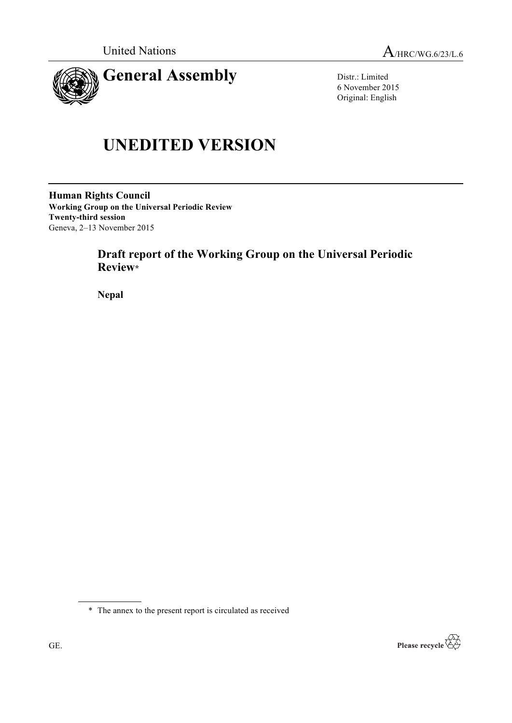

Distr.: Limited 6 November 2015 Original: English

# **UNEDITED VERSION**

**Human Rights Council Working Group on the Universal Periodic Review Twenty-third session** Geneva, 2–13 November 2015

# **Draft report of the Working Group on the Universal Periodic Review\***

**Nepal**

\* The annex to the present report is circulated as received

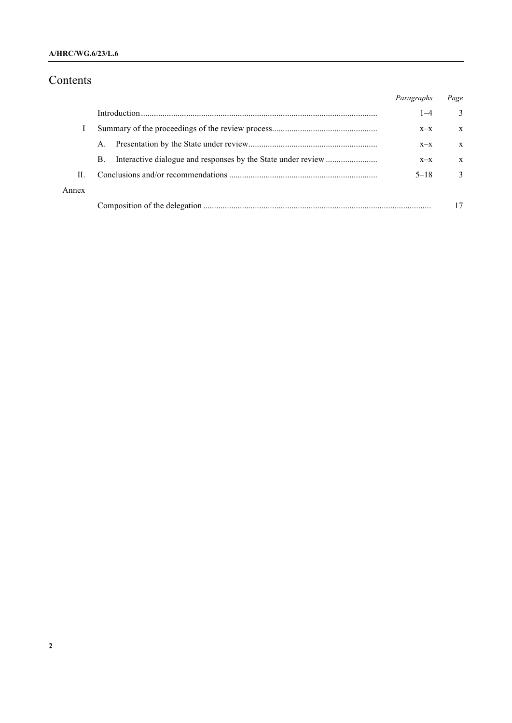### **A/HRC/WG.6/23/L.6**

# Contents

|       |             | Paragraphs | Page          |
|-------|-------------|------------|---------------|
|       |             | $1 - 4$    | 3             |
|       |             | $X-X$      | X             |
|       | $A_{\cdot}$ | $X-X$      | X             |
|       | B.          | $X-X$      | X             |
| П     |             | $5 - 18$   | $\mathcal{L}$ |
| Annex |             |            |               |
|       |             |            |               |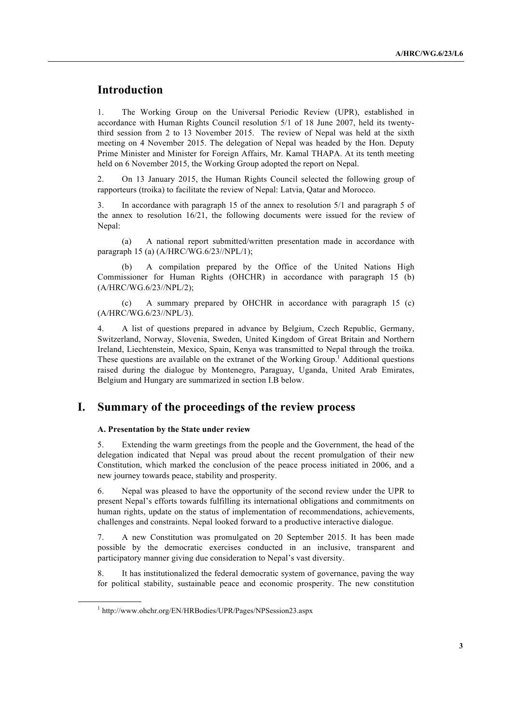# **Introduction**

1. The Working Group on the Universal Periodic Review (UPR), established in accordance with Human Rights Council resolution 5/1 of 18 June 2007, held its twentythird session from 2 to 13 November 2015. The review of Nepal was held at the sixth meeting on 4 November 2015. The delegation of Nepal was headed by the Hon. Deputy Prime Minister and Minister for Foreign Affairs, Mr. Kamal THAPA. At its tenth meeting held on 6 November 2015, the Working Group adopted the report on Nepal.

2. On 13 January 2015, the Human Rights Council selected the following group of rapporteurs (troika) to facilitate the review of Nepal: Latvia, Qatar and Morocco.

3. In accordance with paragraph 15 of the annex to resolution 5/1 and paragraph 5 of the annex to resolution 16/21, the following documents were issued for the review of Nepal:

(a) A national report submitted/written presentation made in accordance with paragraph 15 (a) (A/HRC/WG.6/23//NPL/1);

A compilation prepared by the Office of the United Nations High Commissioner for Human Rights (OHCHR) in accordance with paragraph 15 (b) (A/HRC/WG.6/23//NPL/2);

(c) A summary prepared by OHCHR in accordance with paragraph 15 (c) (A/HRC/WG.6/23//NPL/3).

4. A list of questions prepared in advance by Belgium, Czech Republic, Germany, Switzerland, Norway, Slovenia, Sweden, United Kingdom of Great Britain and Northern Ireland, Liechtenstein, Mexico, Spain, Kenya was transmitted to Nepal through the troika. These questions are available on the extranet of the Working Group.<sup>1</sup> Additional questions raised during the dialogue by Montenegro, Paraguay, Uganda, United Arab Emirates, Belgium and Hungary are summarized in section I.B below.

## **I. Summary of the proceedings of the review process**

#### **A. Presentation by the State under review**

5. Extending the warm greetings from the people and the Government, the head of the delegation indicated that Nepal was proud about the recent promulgation of their new Constitution, which marked the conclusion of the peace process initiated in 2006, and a new journey towards peace, stability and prosperity.

6. Nepal was pleased to have the opportunity of the second review under the UPR to present Nepal's efforts towards fulfilling its international obligations and commitments on human rights, update on the status of implementation of recommendations, achievements, challenges and constraints. Nepal looked forward to a productive interactive dialogue.

7. A new Constitution was promulgated on 20 September 2015. It has been made possible by the democratic exercises conducted in an inclusive, transparent and participatory manner giving due consideration to Nepal's vast diversity.

8. It has institutionalized the federal democratic system of governance, paving the way for political stability, sustainable peace and economic prosperity. The new constitution

<sup>1</sup> http://www.ohchr.org/EN/HRBodies/UPR/Pages/NPSession23.aspx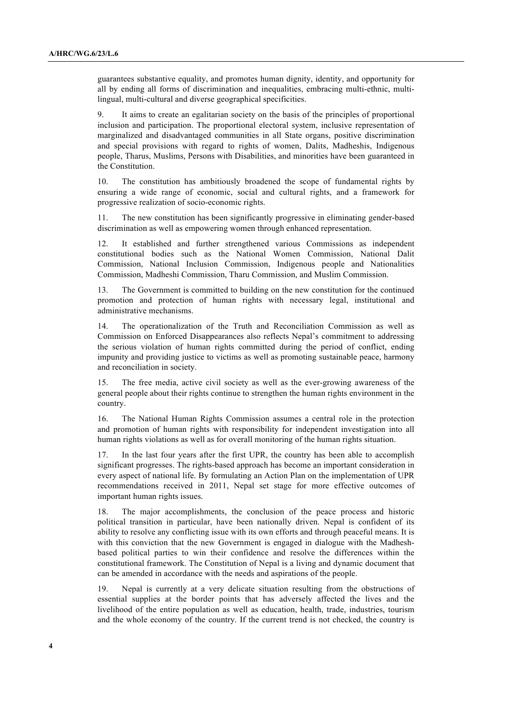guarantees substantive equality, and promotes human dignity, identity, and opportunity for all by ending all forms of discrimination and inequalities, embracing multi-ethnic, multilingual, multi-cultural and diverse geographical specificities.

9. It aims to create an egalitarian society on the basis of the principles of proportional inclusion and participation. The proportional electoral system, inclusive representation of marginalized and disadvantaged communities in all State organs, positive discrimination and special provisions with regard to rights of women, Dalits, Madheshis, Indigenous people, Tharus, Muslims, Persons with Disabilities, and minorities have been guaranteed in the Constitution.

10. The constitution has ambitiously broadened the scope of fundamental rights by ensuring a wide range of economic, social and cultural rights, and a framework for progressive realization of socio-economic rights.

11. The new constitution has been significantly progressive in eliminating gender-based discrimination as well as empowering women through enhanced representation.

12. It established and further strengthened various Commissions as independent constitutional bodies such as the National Women Commission, National Dalit Commission, National Inclusion Commission, Indigenous people and Nationalities Commission, Madheshi Commission, Tharu Commission, and Muslim Commission.

13. The Government is committed to building on the new constitution for the continued promotion and protection of human rights with necessary legal, institutional and administrative mechanisms.

14. The operationalization of the Truth and Reconciliation Commission as well as Commission on Enforced Disappearances also reflects Nepal's commitment to addressing the serious violation of human rights committed during the period of conflict, ending impunity and providing justice to victims as well as promoting sustainable peace, harmony and reconciliation in society.

15. The free media, active civil society as well as the ever-growing awareness of the general people about their rights continue to strengthen the human rights environment in the country.

16. The National Human Rights Commission assumes a central role in the protection and promotion of human rights with responsibility for independent investigation into all human rights violations as well as for overall monitoring of the human rights situation.

17. In the last four years after the first UPR, the country has been able to accomplish significant progresses. The rights-based approach has become an important consideration in every aspect of national life. By formulating an Action Plan on the implementation of UPR recommendations received in 2011, Nepal set stage for more effective outcomes of important human rights issues.

18. The major accomplishments, the conclusion of the peace process and historic political transition in particular, have been nationally driven. Nepal is confident of its ability to resolve any conflicting issue with its own efforts and through peaceful means. It is with this conviction that the new Government is engaged in dialogue with the Madheshbased political parties to win their confidence and resolve the differences within the constitutional framework. The Constitution of Nepal is a living and dynamic document that can be amended in accordance with the needs and aspirations of the people.

19. Nepal is currently at a very delicate situation resulting from the obstructions of essential supplies at the border points that has adversely affected the lives and the livelihood of the entire population as well as education, health, trade, industries, tourism and the whole economy of the country. If the current trend is not checked, the country is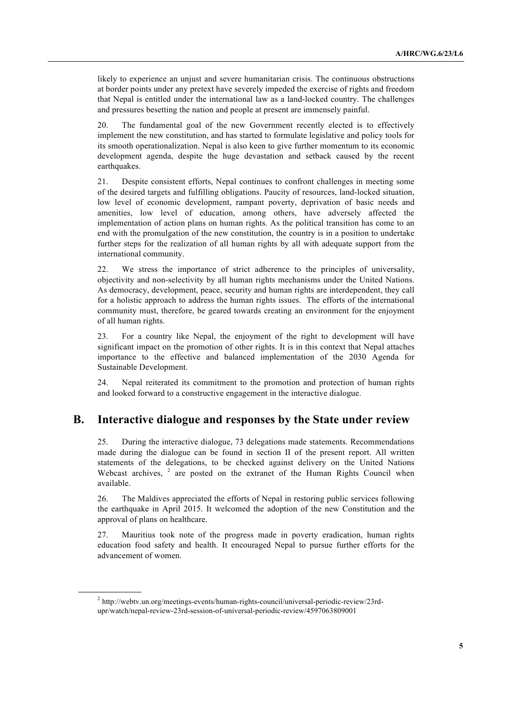likely to experience an unjust and severe humanitarian crisis. The continuous obstructions at border points under any pretext have severely impeded the exercise of rights and freedom that Nepal is entitled under the international law as a land-locked country. The challenges and pressures besetting the nation and people at present are immensely painful.

20. The fundamental goal of the new Government recently elected is to effectively implement the new constitution, and has started to formulate legislative and policy tools for its smooth operationalization. Nepal is also keen to give further momentum to its economic development agenda, despite the huge devastation and setback caused by the recent earthquakes.

21. Despite consistent efforts, Nepal continues to confront challenges in meeting some of the desired targets and fulfilling obligations. Paucity of resources, land-locked situation, low level of economic development, rampant poverty, deprivation of basic needs and amenities, low level of education, among others, have adversely affected the implementation of action plans on human rights. As the political transition has come to an end with the promulgation of the new constitution, the country is in a position to undertake further steps for the realization of all human rights by all with adequate support from the international community.

22. We stress the importance of strict adherence to the principles of universality, objectivity and non-selectivity by all human rights mechanisms under the United Nations. As democracy, development, peace, security and human rights are interdependent, they call for a holistic approach to address the human rights issues. The efforts of the international community must, therefore, be geared towards creating an environment for the enjoyment of all human rights.

23. For a country like Nepal, the enjoyment of the right to development will have significant impact on the promotion of other rights. It is in this context that Nepal attaches importance to the effective and balanced implementation of the 2030 Agenda for Sustainable Development.

24. Nepal reiterated its commitment to the promotion and protection of human rights and looked forward to a constructive engagement in the interactive dialogue.

## **B. Interactive dialogue and responses by the State under review**

25. During the interactive dialogue, 73 delegations made statements. Recommendations made during the dialogue can be found in section II of the present report. All written statements of the delegations, to be checked against delivery on the United Nations Webcast archives, <sup>2</sup> are posted on the extranet of the Human Rights Council when available.

26. The Maldives appreciated the efforts of Nepal in restoring public services following the earthquake in April 2015. It welcomed the adoption of the new Constitution and the approval of plans on healthcare.

27. Mauritius took note of the progress made in poverty eradication, human rights education food safety and health. It encouraged Nepal to pursue further efforts for the advancement of women.

<sup>2</sup> http://webtv.un.org/meetings-events/human-rights-council/universal-periodic-review/23rdupr/watch/nepal-review-23rd-session-of-universal-periodic-review/4597063809001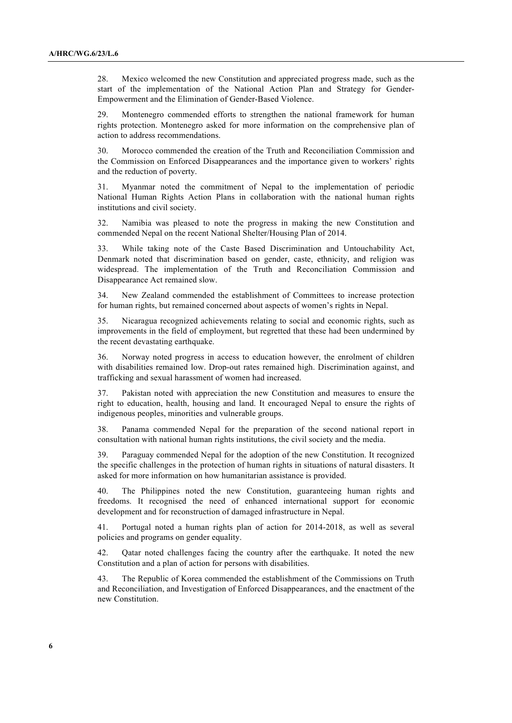28. Mexico welcomed the new Constitution and appreciated progress made, such as the start of the implementation of the National Action Plan and Strategy for Gender-Empowerment and the Elimination of Gender-Based Violence.

29. Montenegro commended efforts to strengthen the national framework for human rights protection. Montenegro asked for more information on the comprehensive plan of action to address recommendations.

30. Morocco commended the creation of the Truth and Reconciliation Commission and the Commission on Enforced Disappearances and the importance given to workers' rights and the reduction of poverty.

31. Myanmar noted the commitment of Nepal to the implementation of periodic National Human Rights Action Plans in collaboration with the national human rights institutions and civil society.

32. Namibia was pleased to note the progress in making the new Constitution and commended Nepal on the recent National Shelter/Housing Plan of 2014.

33. While taking note of the Caste Based Discrimination and Untouchability Act, Denmark noted that discrimination based on gender, caste, ethnicity, and religion was widespread. The implementation of the Truth and Reconciliation Commission and Disappearance Act remained slow.

34. New Zealand commended the establishment of Committees to increase protection for human rights, but remained concerned about aspects of women's rights in Nepal.

35. Nicaragua recognized achievements relating to social and economic rights, such as improvements in the field of employment, but regretted that these had been undermined by the recent devastating earthquake.

36. Norway noted progress in access to education however, the enrolment of children with disabilities remained low. Drop-out rates remained high. Discrimination against, and trafficking and sexual harassment of women had increased.

37. Pakistan noted with appreciation the new Constitution and measures to ensure the right to education, health, housing and land. It encouraged Nepal to ensure the rights of indigenous peoples, minorities and vulnerable groups.

38. Panama commended Nepal for the preparation of the second national report in consultation with national human rights institutions, the civil society and the media.

39. Paraguay commended Nepal for the adoption of the new Constitution. It recognized the specific challenges in the protection of human rights in situations of natural disasters. It asked for more information on how humanitarian assistance is provided.

40. The Philippines noted the new Constitution, guaranteeing human rights and freedoms. It recognised the need of enhanced international support for economic development and for reconstruction of damaged infrastructure in Nepal.

41. Portugal noted a human rights plan of action for 2014-2018, as well as several policies and programs on gender equality.

42. Qatar noted challenges facing the country after the earthquake. It noted the new Constitution and a plan of action for persons with disabilities.

43. The Republic of Korea commended the establishment of the Commissions on Truth and Reconciliation, and Investigation of Enforced Disappearances, and the enactment of the new Constitution.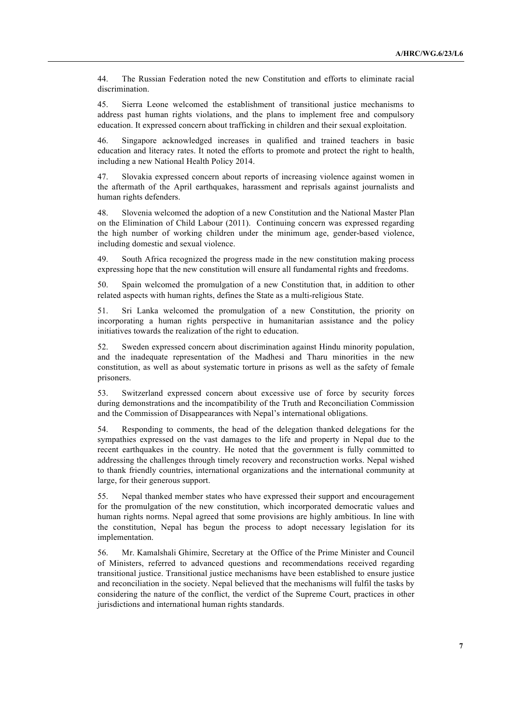44. The Russian Federation noted the new Constitution and efforts to eliminate racial discrimination.

45. Sierra Leone welcomed the establishment of transitional justice mechanisms to address past human rights violations, and the plans to implement free and compulsory education. It expressed concern about trafficking in children and their sexual exploitation.

46. Singapore acknowledged increases in qualified and trained teachers in basic education and literacy rates. It noted the efforts to promote and protect the right to health, including a new National Health Policy 2014.

47. Slovakia expressed concern about reports of increasing violence against women in the aftermath of the April earthquakes, harassment and reprisals against journalists and human rights defenders.

48. Slovenia welcomed the adoption of a new Constitution and the National Master Plan on the Elimination of Child Labour (2011). Continuing concern was expressed regarding the high number of working children under the minimum age, gender-based violence, including domestic and sexual violence.

49. South Africa recognized the progress made in the new constitution making process expressing hope that the new constitution will ensure all fundamental rights and freedoms.

50. Spain welcomed the promulgation of a new Constitution that, in addition to other related aspects with human rights, defines the State as a multi-religious State.

51. Sri Lanka welcomed the promulgation of a new Constitution, the priority on incorporating a human rights perspective in humanitarian assistance and the policy initiatives towards the realization of the right to education.

52. Sweden expressed concern about discrimination against Hindu minority population, and the inadequate representation of the Madhesi and Tharu minorities in the new constitution, as well as about systematic torture in prisons as well as the safety of female prisoners.

53. Switzerland expressed concern about excessive use of force by security forces during demonstrations and the incompatibility of the Truth and Reconciliation Commission and the Commission of Disappearances with Nepal's international obligations.

54. Responding to comments, the head of the delegation thanked delegations for the sympathies expressed on the vast damages to the life and property in Nepal due to the recent earthquakes in the country. He noted that the government is fully committed to addressing the challenges through timely recovery and reconstruction works. Nepal wished to thank friendly countries, international organizations and the international community at large, for their generous support.

55. Nepal thanked member states who have expressed their support and encouragement for the promulgation of the new constitution, which incorporated democratic values and human rights norms. Nepal agreed that some provisions are highly ambitious. In line with the constitution, Nepal has begun the process to adopt necessary legislation for its implementation.

56. Mr. Kamalshali Ghimire, Secretary at the Office of the Prime Minister and Council of Ministers, referred to advanced questions and recommendations received regarding transitional justice. Transitional justice mechanisms have been established to ensure justice and reconciliation in the society. Nepal believed that the mechanisms will fulfil the tasks by considering the nature of the conflict, the verdict of the Supreme Court, practices in other jurisdictions and international human rights standards.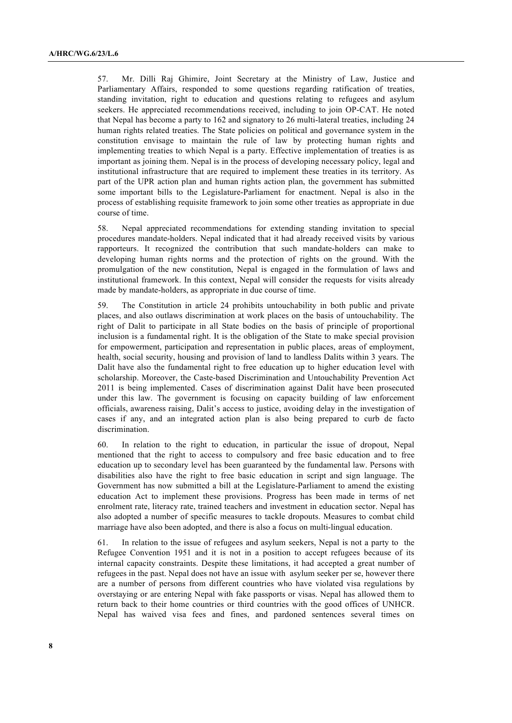57. Mr. Dilli Raj Ghimire, Joint Secretary at the Ministry of Law, Justice and Parliamentary Affairs, responded to some questions regarding ratification of treaties, standing invitation, right to education and questions relating to refugees and asylum seekers. He appreciated recommendations received, including to join OP-CAT. He noted that Nepal has become a party to 162 and signatory to 26 multi-lateral treaties, including 24 human rights related treaties. The State policies on political and governance system in the constitution envisage to maintain the rule of law by protecting human rights and implementing treaties to which Nepal is a party. Effective implementation of treaties is as important as joining them. Nepal is in the process of developing necessary policy, legal and institutional infrastructure that are required to implement these treaties in its territory. As part of the UPR action plan and human rights action plan, the government has submitted some important bills to the Legislature-Parliament for enactment. Nepal is also in the process of establishing requisite framework to join some other treaties as appropriate in due course of time.

58. Nepal appreciated recommendations for extending standing invitation to special procedures mandate-holders. Nepal indicated that it had already received visits by various rapporteurs. It recognized the contribution that such mandate-holders can make to developing human rights norms and the protection of rights on the ground. With the promulgation of the new constitution, Nepal is engaged in the formulation of laws and institutional framework. In this context, Nepal will consider the requests for visits already made by mandate-holders, as appropriate in due course of time.

59. The Constitution in article 24 prohibits untouchability in both public and private places, and also outlaws discrimination at work places on the basis of untouchability. The right of Dalit to participate in all State bodies on the basis of principle of proportional inclusion is a fundamental right. It is the obligation of the State to make special provision for empowerment, participation and representation in public places, areas of employment, health, social security, housing and provision of land to landless Dalits within 3 years. The Dalit have also the fundamental right to free education up to higher education level with scholarship. Moreover, the Caste-based Discrimination and Untouchability Prevention Act 2011 is being implemented. Cases of discrimination against Dalit have been prosecuted under this law. The government is focusing on capacity building of law enforcement officials, awareness raising, Dalit's access to justice, avoiding delay in the investigation of cases if any, and an integrated action plan is also being prepared to curb de facto discrimination.

60. In relation to the right to education, in particular the issue of dropout, Nepal mentioned that the right to access to compulsory and free basic education and to free education up to secondary level has been guaranteed by the fundamental law. Persons with disabilities also have the right to free basic education in script and sign language. The Government has now submitted a bill at the Legislature-Parliament to amend the existing education Act to implement these provisions. Progress has been made in terms of net enrolment rate, literacy rate, trained teachers and investment in education sector. Nepal has also adopted a number of specific measures to tackle dropouts. Measures to combat child marriage have also been adopted, and there is also a focus on multi-lingual education.

61. In relation to the issue of refugees and asylum seekers, Nepal is not a party to the Refugee Convention 1951 and it is not in a position to accept refugees because of its internal capacity constraints. Despite these limitations, it had accepted a great number of refugees in the past. Nepal does not have an issue with asylum seeker per se, however there are a number of persons from different countries who have violated visa regulations by overstaying or are entering Nepal with fake passports or visas. Nepal has allowed them to return back to their home countries or third countries with the good offices of UNHCR. Nepal has waived visa fees and fines, and pardoned sentences several times on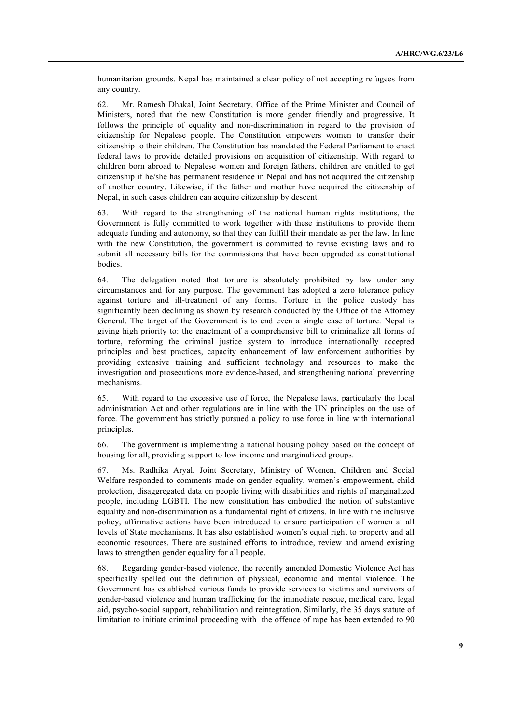humanitarian grounds. Nepal has maintained a clear policy of not accepting refugees from any country.

62. Mr. Ramesh Dhakal, Joint Secretary, Office of the Prime Minister and Council of Ministers, noted that the new Constitution is more gender friendly and progressive. It follows the principle of equality and non-discrimination in regard to the provision of citizenship for Nepalese people. The Constitution empowers women to transfer their citizenship to their children. The Constitution has mandated the Federal Parliament to enact federal laws to provide detailed provisions on acquisition of citizenship. With regard to children born abroad to Nepalese women and foreign fathers, children are entitled to get citizenship if he/she has permanent residence in Nepal and has not acquired the citizenship of another country. Likewise, if the father and mother have acquired the citizenship of Nepal, in such cases children can acquire citizenship by descent.

63. With regard to the strengthening of the national human rights institutions, the Government is fully committed to work together with these institutions to provide them adequate funding and autonomy, so that they can fulfill their mandate as per the law. In line with the new Constitution, the government is committed to revise existing laws and to submit all necessary bills for the commissions that have been upgraded as constitutional bodies.

64. The delegation noted that torture is absolutely prohibited by law under any circumstances and for any purpose. The government has adopted a zero tolerance policy against torture and ill-treatment of any forms. Torture in the police custody has significantly been declining as shown by research conducted by the Office of the Attorney General. The target of the Government is to end even a single case of torture. Nepal is giving high priority to: the enactment of a comprehensive bill to criminalize all forms of torture, reforming the criminal justice system to introduce internationally accepted principles and best practices, capacity enhancement of law enforcement authorities by providing extensive training and sufficient technology and resources to make the investigation and prosecutions more evidence-based, and strengthening national preventing mechanisms.

65. With regard to the excessive use of force, the Nepalese laws, particularly the local administration Act and other regulations are in line with the UN principles on the use of force. The government has strictly pursued a policy to use force in line with international principles.

66. The government is implementing a national housing policy based on the concept of housing for all, providing support to low income and marginalized groups.

67. Ms. Radhika Aryal, Joint Secretary, Ministry of Women, Children and Social Welfare responded to comments made on gender equality, women's empowerment, child protection, disaggregated data on people living with disabilities and rights of marginalized people, including LGBTI. The new constitution has embodied the notion of substantive equality and non-discrimination as a fundamental right of citizens. In line with the inclusive policy, affirmative actions have been introduced to ensure participation of women at all levels of State mechanisms. It has also established women's equal right to property and all economic resources. There are sustained efforts to introduce, review and amend existing laws to strengthen gender equality for all people.

68. Regarding gender-based violence, the recently amended Domestic Violence Act has specifically spelled out the definition of physical, economic and mental violence. The Government has established various funds to provide services to victims and survivors of gender-based violence and human trafficking for the immediate rescue, medical care, legal aid, psycho-social support, rehabilitation and reintegration. Similarly, the 35 days statute of limitation to initiate criminal proceeding with the offence of rape has been extended to 90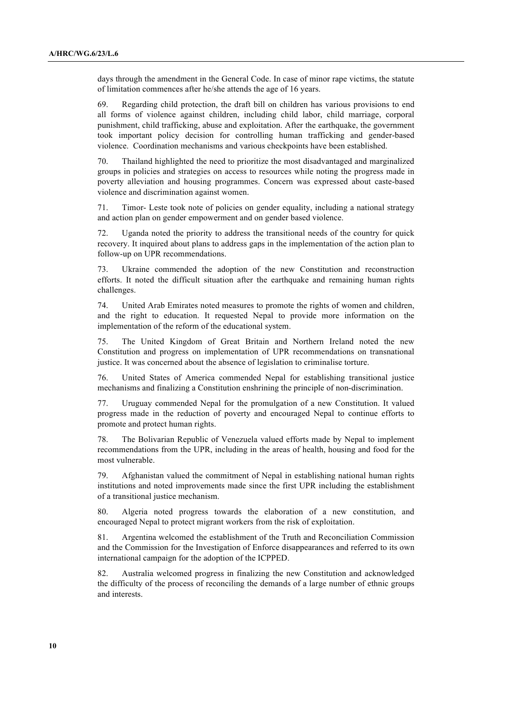days through the amendment in the General Code. In case of minor rape victims, the statute of limitation commences after he/she attends the age of 16 years.

69. Regarding child protection, the draft bill on children has various provisions to end all forms of violence against children, including child labor, child marriage, corporal punishment, child trafficking, abuse and exploitation. After the earthquake, the government took important policy decision for controlling human trafficking and gender-based violence. Coordination mechanisms and various checkpoints have been established.

70. Thailand highlighted the need to prioritize the most disadvantaged and marginalized groups in policies and strategies on access to resources while noting the progress made in poverty alleviation and housing programmes. Concern was expressed about caste-based violence and discrimination against women.

71. Timor- Leste took note of policies on gender equality, including a national strategy and action plan on gender empowerment and on gender based violence.

72. Uganda noted the priority to address the transitional needs of the country for quick recovery. It inquired about plans to address gaps in the implementation of the action plan to follow-up on UPR recommendations.

73. Ukraine commended the adoption of the new Constitution and reconstruction efforts. It noted the difficult situation after the earthquake and remaining human rights challenges.

74. United Arab Emirates noted measures to promote the rights of women and children, and the right to education. It requested Nepal to provide more information on the implementation of the reform of the educational system.

75. The United Kingdom of Great Britain and Northern Ireland noted the new Constitution and progress on implementation of UPR recommendations on transnational justice. It was concerned about the absence of legislation to criminalise torture.

76. United States of America commended Nepal for establishing transitional justice mechanisms and finalizing a Constitution enshrining the principle of non-discrimination.

77. Uruguay commended Nepal for the promulgation of a new Constitution. It valued progress made in the reduction of poverty and encouraged Nepal to continue efforts to promote and protect human rights.

78. The Bolivarian Republic of Venezuela valued efforts made by Nepal to implement recommendations from the UPR, including in the areas of health, housing and food for the most vulnerable.

79. Afghanistan valued the commitment of Nepal in establishing national human rights institutions and noted improvements made since the first UPR including the establishment of a transitional justice mechanism.

80. Algeria noted progress towards the elaboration of a new constitution, and encouraged Nepal to protect migrant workers from the risk of exploitation.

81. Argentina welcomed the establishment of the Truth and Reconciliation Commission and the Commission for the Investigation of Enforce disappearances and referred to its own international campaign for the adoption of the ICPPED.

82. Australia welcomed progress in finalizing the new Constitution and acknowledged the difficulty of the process of reconciling the demands of a large number of ethnic groups and interests.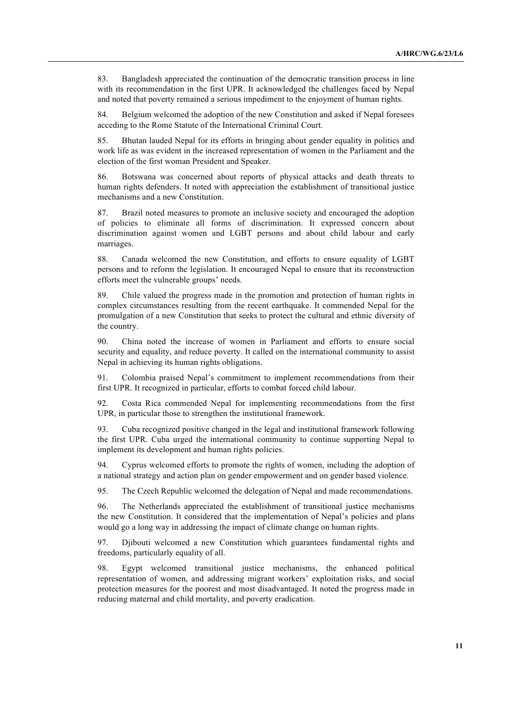83. Bangladesh appreciated the continuation of the democratic transition process in line with its recommendation in the first UPR. It acknowledged the challenges faced by Nepal and noted that poverty remained a serious impediment to the enjoyment of human rights.

84. Belgium welcomed the adoption of the new Constitution and asked if Nepal foresees acceding to the Rome Statute of the International Criminal Court.

85. Bhutan lauded Nepal for its efforts in bringing about gender equality in politics and work life as was evident in the increased representation of women in the Parliament and the election of the first woman President and Speaker.

86. Botswana was concerned about reports of physical attacks and death threats to human rights defenders. It noted with appreciation the establishment of transitional justice mechanisms and a new Constitution.

87. Brazil noted measures to promote an inclusive society and encouraged the adoption of policies to eliminate all forms of discrimination. It expressed concern about discrimination against women and LGBT persons and about child labour and early marriages.

88. Canada welcomed the new Constitution, and efforts to ensure equality of LGBT persons and to reform the legislation. It encouraged Nepal to ensure that its reconstruction efforts meet the vulnerable groups' needs.

89. Chile valued the progress made in the promotion and protection of human rights in complex circumstances resulting from the recent earthquake. It commended Nepal for the promulgation of a new Constitution that seeks to protect the cultural and ethnic diversity of the country.

90. China noted the increase of women in Parliament and efforts to ensure social security and equality, and reduce poverty. It called on the international community to assist Nepal in achieving its human rights obligations.

91. Colombia praised Nepal's commitment to implement recommendations from their first UPR. It recognized in particular, efforts to combat forced child labour.

92. Costa Rica commended Nepal for implementing recommendations from the first UPR, in particular those to strengthen the institutional framework.

93. Cuba recognized positive changed in the legal and institutional framework following the first UPR. Cuba urged the international community to continue supporting Nepal to implement its development and human rights policies.

94. Cyprus welcomed efforts to promote the rights of women, including the adoption of a national strategy and action plan on gender empowerment and on gender based violence.

95. The Czech Republic welcomed the delegation of Nepal and made recommendations.

96. The Netherlands appreciated the establishment of transitional justice mechanisms the new Constitution. It considered that the implementation of Nepal's policies and plans would go a long way in addressing the impact of climate change on human rights.

97. Djibouti welcomed a new Constitution which guarantees fundamental rights and freedoms, particularly equality of all.

98. Egypt welcomed transitional justice mechanisms, the enhanced political representation of women, and addressing migrant workers' exploitation risks, and social protection measures for the poorest and most disadvantaged. It noted the progress made in reducing maternal and child mortality, and poverty eradication.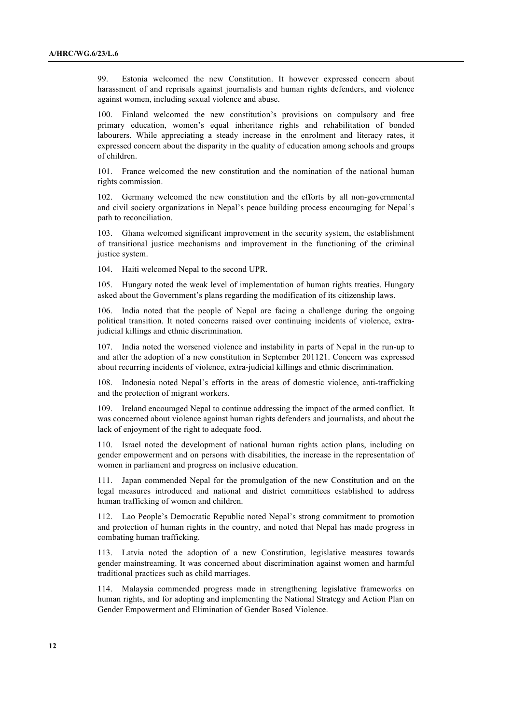99. Estonia welcomed the new Constitution. It however expressed concern about harassment of and reprisals against journalists and human rights defenders, and violence against women, including sexual violence and abuse.

100. Finland welcomed the new constitution's provisions on compulsory and free primary education, women's equal inheritance rights and rehabilitation of bonded labourers. While appreciating a steady increase in the enrolment and literacy rates, it expressed concern about the disparity in the quality of education among schools and groups of children.

101. France welcomed the new constitution and the nomination of the national human rights commission.

102. Germany welcomed the new constitution and the efforts by all non-governmental and civil society organizations in Nepal's peace building process encouraging for Nepal's path to reconciliation.

103. Ghana welcomed significant improvement in the security system, the establishment of transitional justice mechanisms and improvement in the functioning of the criminal justice system.

104. Haiti welcomed Nepal to the second UPR.

105. Hungary noted the weak level of implementation of human rights treaties. Hungary asked about the Government's plans regarding the modification of its citizenship laws.

India noted that the people of Nepal are facing a challenge during the ongoing political transition. It noted concerns raised over continuing incidents of violence, extrajudicial killings and ethnic discrimination.

India noted the worsened violence and instability in parts of Nepal in the run-up to and after the adoption of a new constitution in September 201121. Concern was expressed about recurring incidents of violence, extra-judicial killings and ethnic discrimination.

108. Indonesia noted Nepal's efforts in the areas of domestic violence, anti-trafficking and the protection of migrant workers.

109. Ireland encouraged Nepal to continue addressing the impact of the armed conflict. It was concerned about violence against human rights defenders and journalists, and about the lack of enjoyment of the right to adequate food.

110. Israel noted the development of national human rights action plans, including on gender empowerment and on persons with disabilities, the increase in the representation of women in parliament and progress on inclusive education.

111. Japan commended Nepal for the promulgation of the new Constitution and on the legal measures introduced and national and district committees established to address human trafficking of women and children.

112. Lao People's Democratic Republic noted Nepal's strong commitment to promotion and protection of human rights in the country, and noted that Nepal has made progress in combating human trafficking.

113. Latvia noted the adoption of a new Constitution, legislative measures towards gender mainstreaming. It was concerned about discrimination against women and harmful traditional practices such as child marriages.

114. Malaysia commended progress made in strengthening legislative frameworks on human rights, and for adopting and implementing the National Strategy and Action Plan on Gender Empowerment and Elimination of Gender Based Violence.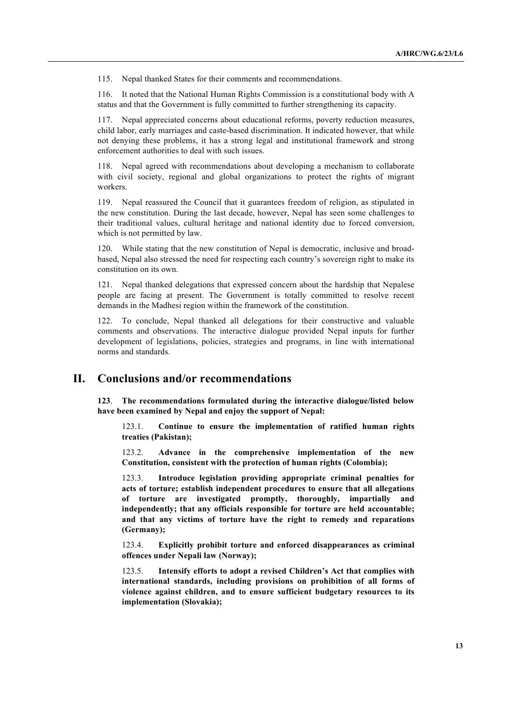115. Nepal thanked States for their comments and recommendations.

116. It noted that the National Human Rights Commission is a constitutional body with A status and that the Government is fully committed to further strengthening its capacity.

117. Nepal appreciated concerns about educational reforms, poverty reduction measures, child labor, early marriages and caste-based discrimination. It indicated however, that while not denying these problems, it has a strong legal and institutional framework and strong enforcement authorities to deal with such issues.

118. Nepal agreed with recommendations about developing a mechanism to collaborate with civil society, regional and global organizations to protect the rights of migrant workers.

119. Nepal reassured the Council that it guarantees freedom of religion, as stipulated in the new constitution. During the last decade, however, Nepal has seen some challenges to their traditional values, cultural heritage and national identity due to forced conversion, which is not permitted by law.

120. While stating that the new constitution of Nepal is democratic, inclusive and broadbased, Nepal also stressed the need for respecting each country's sovereign right to make its constitution on its own.

121. Nepal thanked delegations that expressed concern about the hardship that Nepalese people are facing at present. The Government is totally committed to resolve recent demands in the Madhesi region within the framework of the constitution.

122. To conclude, Nepal thanked all delegations for their constructive and valuable comments and observations. The interactive dialogue provided Nepal inputs for further development of legislations, policies, strategies and programs, in line with international norms and standards.

## **II. Conclusions and/or recommendations**

**123**. **The recommendations formulated during the interactive dialogue/listed below have been examined by Nepal and enjoy the support of Nepal:**

123.1. **Continue to ensure the implementation of ratified human rights treaties (Pakistan);**

123.2. **Advance in the comprehensive implementation of the new Constitution, consistent with the protection of human rights (Colombia);**

123.3. **Introduce legislation providing appropriate criminal penalties for acts of torture; establish independent procedures to ensure that all allegations of torture are investigated promptly, thoroughly, impartially and independently; that any officials responsible for torture are held accountable; and that any victims of torture have the right to remedy and reparations (Germany);**

123.4. **Explicitly prohibit torture and enforced disappearances as criminal offences under Nepali law (Norway);**

123.5. **Intensify efforts to adopt a revised Children's Act that complies with international standards, including provisions on prohibition of all forms of violence against children, and to ensure sufficient budgetary resources to its implementation (Slovakia);**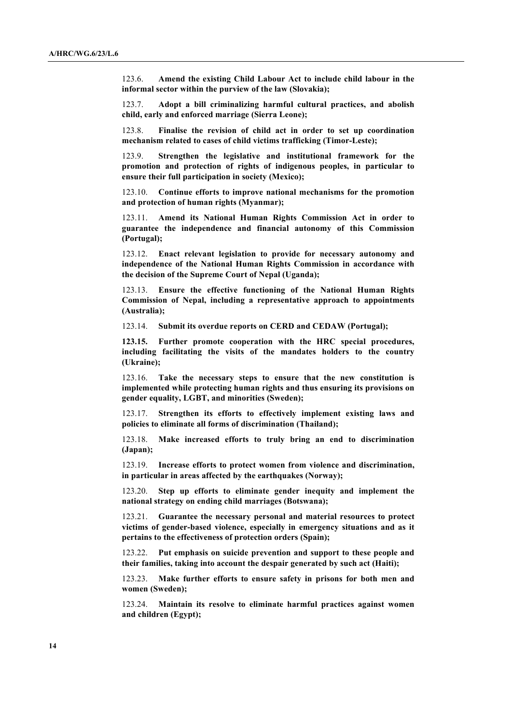123.6. **Amend the existing Child Labour Act to include child labour in the informal sector within the purview of the law (Slovakia);**

123.7. **Adopt a bill criminalizing harmful cultural practices, and abolish child, early and enforced marriage (Sierra Leone);**

123.8. **Finalise the revision of child act in order to set up coordination mechanism related to cases of child victims trafficking (Timor-Leste);**

123.9. **Strengthen the legislative and institutional framework for the promotion and protection of rights of indigenous peoples, in particular to ensure their full participation in society (Mexico);**

123.10. **Continue efforts to improve national mechanisms for the promotion and protection of human rights (Myanmar);**

123.11. **Amend its National Human Rights Commission Act in order to guarantee the independence and financial autonomy of this Commission (Portugal);**

123.12. **Enact relevant legislation to provide for necessary autonomy and independence of the National Human Rights Commission in accordance with the decision of the Supreme Court of Nepal (Uganda);**

123.13. **Ensure the effective functioning of the National Human Rights Commission of Nepal, including a representative approach to appointments (Australia);**

123.14. **Submit its overdue reports on CERD and CEDAW (Portugal);**

**123.15. Further promote cooperation with the HRC special procedures, including facilitating the visits of the mandates holders to the country (Ukraine);**

123.16. **Take the necessary steps to ensure that the new constitution is implemented while protecting human rights and thus ensuring its provisions on gender equality, LGBT, and minorities (Sweden);**

123.17. **Strengthen its efforts to effectively implement existing laws and policies to eliminate all forms of discrimination (Thailand);**

123.18. **Make increased efforts to truly bring an end to discrimination (Japan);**

123.19. **Increase efforts to protect women from violence and discrimination, in particular in areas affected by the earthquakes (Norway);**

123.20. **Step up efforts to eliminate gender inequity and implement the national strategy on ending child marriages (Botswana);**

123.21. **Guarantee the necessary personal and material resources to protect victims of gender-based violence, especially in emergency situations and as it pertains to the effectiveness of protection orders (Spain);**

123.22. **Put emphasis on suicide prevention and support to these people and their families, taking into account the despair generated by such act (Haiti);**

123.23. **Make further efforts to ensure safety in prisons for both men and women (Sweden);**

123.24. **Maintain its resolve to eliminate harmful practices against women and children (Egypt);**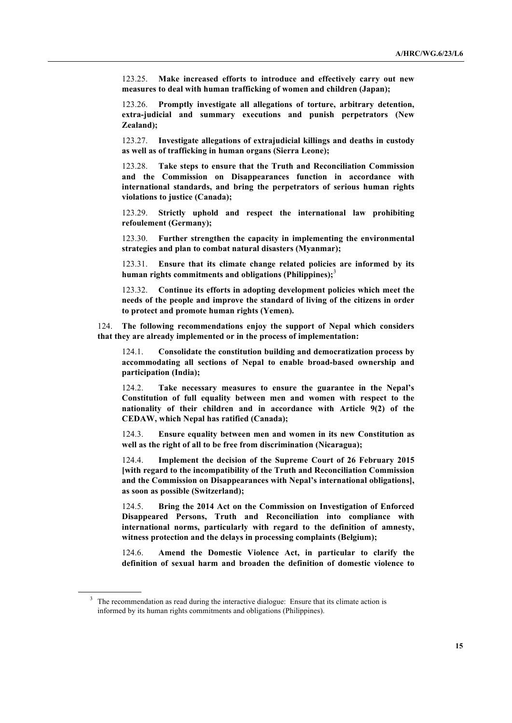123.25. **Make increased efforts to introduce and effectively carry out new measures to deal with human trafficking of women and children (Japan);**

123.26. **Promptly investigate all allegations of torture, arbitrary detention, extra-judicial and summary executions and punish perpetrators (New Zealand);**

123.27. **Investigate allegations of extrajudicial killings and deaths in custody as well as of trafficking in human organs (Sierra Leone);**

123.28. **Take steps to ensure that the Truth and Reconciliation Commission and the Commission on Disappearances function in accordance with international standards, and bring the perpetrators of serious human rights violations to justice (Canada);**

123.29. **Strictly uphold and respect the international law prohibiting refoulement (Germany);**

123.30. **Further strengthen the capacity in implementing the environmental strategies and plan to combat natural disasters (Myanmar);**

123.31. **Ensure that its climate change related policies are informed by its human rights commitments and obligations (Philippines);**<sup>3</sup>

123.32. **Continue its efforts in adopting development policies which meet the needs of the people and improve the standard of living of the citizens in order to protect and promote human rights (Yemen).**

124. **The following recommendations enjoy the support of Nepal which considers that they are already implemented or in the process of implementation:**

124.1. **Consolidate the constitution building and democratization process by accommodating all sections of Nepal to enable broad-based ownership and participation (India);**

124.2. **Take necessary measures to ensure the guarantee in the Nepal's Constitution of full equality between men and women with respect to the nationality of their children and in accordance with Article 9(2) of the CEDAW, which Nepal has ratified (Canada);**

124.3. **Ensure equality between men and women in its new Constitution as well as the right of all to be free from discrimination (Nicaragua);**

124.4. **Implement the decision of the Supreme Court of 26 February 2015 [with regard to the incompatibility of the Truth and Reconciliation Commission and the Commission on Disappearances with Nepal's international obligations], as soon as possible (Switzerland);**

124.5. **Bring the 2014 Act on the Commission on Investigation of Enforced Disappeared Persons, Truth and Reconciliation into compliance with international norms, particularly with regard to the definition of amnesty, witness protection and the delays in processing complaints (Belgium);**

124.6. **Amend the Domestic Violence Act, in particular to clarify the definition of sexual harm and broaden the definition of domestic violence to** 

 $3\text{ The recommendation as read during the interactive dialogue:}$  Ensure that its climate action is informed by its human rights commitments and obligations (Philippines).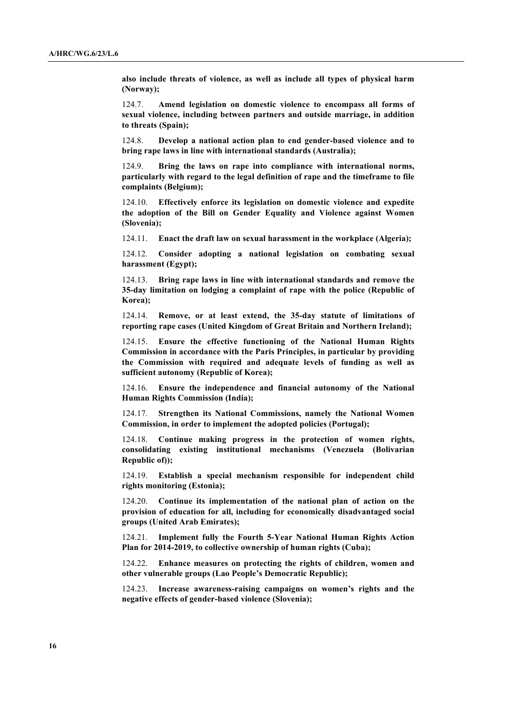**also include threats of violence, as well as include all types of physical harm (Norway);**

124.7. **Amend legislation on domestic violence to encompass all forms of sexual violence, including between partners and outside marriage, in addition to threats (Spain);**

124.8. **Develop a national action plan to end gender-based violence and to bring rape laws in line with international standards (Australia);**

124.9. **Bring the laws on rape into compliance with international norms, particularly with regard to the legal definition of rape and the timeframe to file complaints (Belgium);**

124.10. **Effectively enforce its legislation on domestic violence and expedite the adoption of the Bill on Gender Equality and Violence against Women (Slovenia);**

124.11. **Enact the draft law on sexual harassment in the workplace (Algeria);**

124.12. **Consider adopting a national legislation on combating sexual harassment (Egypt);**

124.13. **Bring rape laws in line with international standards and remove the 35-day limitation on lodging a complaint of rape with the police (Republic of Korea);**

124.14. **Remove, or at least extend, the 35-day statute of limitations of reporting rape cases (United Kingdom of Great Britain and Northern Ireland);**

124.15. **Ensure the effective functioning of the National Human Rights Commission in accordance with the Paris Principles, in particular by providing the Commission with required and adequate levels of funding as well as sufficient autonomy (Republic of Korea);**

124.16. **Ensure the independence and financial autonomy of the National Human Rights Commission (India);**

124.17. **Strengthen its National Commissions, namely the National Women Commission, in order to implement the adopted policies (Portugal);**

124.18. **Continue making progress in the protection of women rights, consolidating existing institutional mechanisms (Venezuela (Bolivarian Republic of));**

124.19. **Establish a special mechanism responsible for independent child rights monitoring (Estonia);**

124.20. **Continue its implementation of the national plan of action on the provision of education for all, including for economically disadvantaged social groups (United Arab Emirates);**

124.21. **Implement fully the Fourth 5-Year National Human Rights Action Plan for 2014-2019, to collective ownership of human rights (Cuba);**

124.22. **Enhance measures on protecting the rights of children, women and other vulnerable groups (Lao People's Democratic Republic);**

124.23. **Increase awareness-raising campaigns on women's rights and the negative effects of gender-based violence (Slovenia);**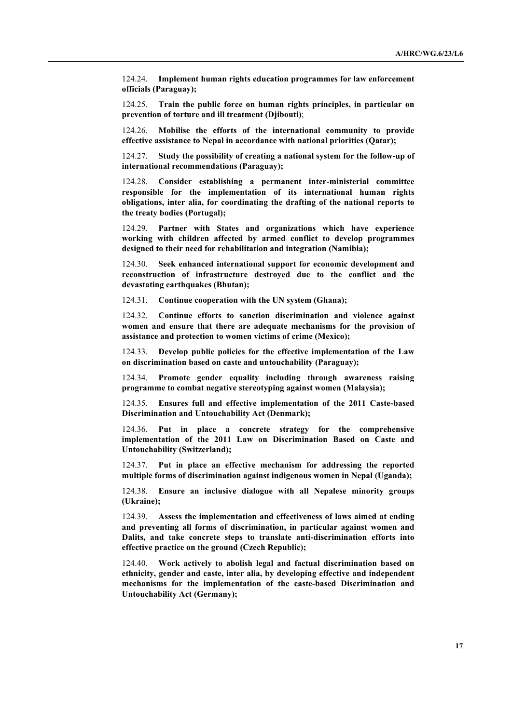124.24. **Implement human rights education programmes for law enforcement officials (Paraguay);**

124.25. **Train the public force on human rights principles, in particular on prevention of torture and ill treatment (Djibouti)**;

124.26. **Mobilise the efforts of the international community to provide effective assistance to Nepal in accordance with national priorities (Qatar);**

124.27. **Study the possibility of creating a national system for the follow-up of international recommendations (Paraguay);**

124.28. **Consider establishing a permanent inter-ministerial committee responsible for the implementation of its international human rights obligations, inter alia, for coordinating the drafting of the national reports to the treaty bodies (Portugal);**

124.29. **Partner with States and organizations which have experience working with children affected by armed conflict to develop programmes designed to their need for rehabilitation and integration (Namibia);**

124.30. **Seek enhanced international support for economic development and reconstruction of infrastructure destroyed due to the conflict and the devastating earthquakes (Bhutan);**

124.31. **Continue cooperation with the UN system (Ghana);**

124.32. **Continue efforts to sanction discrimination and violence against women and ensure that there are adequate mechanisms for the provision of assistance and protection to women victims of crime (Mexico);**

124.33. **Develop public policies for the effective implementation of the Law on discrimination based on caste and untouchability (Paraguay);**

124.34. **Promote gender equality including through awareness raising programme to combat negative stereotyping against women (Malaysia);**

124.35. **Ensures full and effective implementation of the 2011 Caste-based Discrimination and Untouchability Act (Denmark);**

124.36. **Put in place a concrete strategy for the comprehensive implementation of the 2011 Law on Discrimination Based on Caste and Untouchability (Switzerland);**

124.37. **Put in place an effective mechanism for addressing the reported multiple forms of discrimination against indigenous women in Nepal (Uganda);**

124.38. **Ensure an inclusive dialogue with all Nepalese minority groups (Ukraine);**

124.39. **Assess the implementation and effectiveness of laws aimed at ending and preventing all forms of discrimination, in particular against women and Dalits, and take concrete steps to translate anti-discrimination efforts into effective practice on the ground (Czech Republic);**

124.40. **Work actively to abolish legal and factual discrimination based on ethnicity, gender and caste, inter alia, by developing effective and independent mechanisms for the implementation of the caste-based Discrimination and Untouchability Act (Germany);**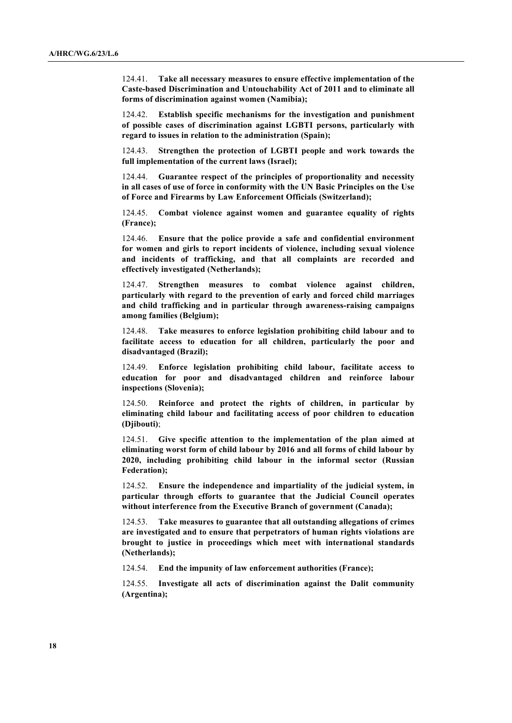124.41. **Take all necessary measures to ensure effective implementation of the Caste-based Discrimination and Untouchability Act of 2011 and to eliminate all forms of discrimination against women (Namibia);**

Establish specific mechanisms for the investigation and punishment **of possible cases of discrimination against LGBTI persons, particularly with regard to issues in relation to the administration (Spain);**

124.43. **Strengthen the protection of LGBTI people and work towards the full implementation of the current laws (Israel);**

124.44. **Guarantee respect of the principles of proportionality and necessity in all cases of use of force in conformity with the UN Basic Principles on the Use of Force and Firearms by Law Enforcement Officials (Switzerland);**

124.45. **Combat violence against women and guarantee equality of rights (France);**

124.46. **Ensure that the police provide a safe and confidential environment for women and girls to report incidents of violence, including sexual violence and incidents of trafficking, and that all complaints are recorded and effectively investigated (Netherlands);**

124.47. **Strengthen measures to combat violence against children, particularly with regard to the prevention of early and forced child marriages and child trafficking and in particular through awareness-raising campaigns among families (Belgium);**

124.48. **Take measures to enforce legislation prohibiting child labour and to facilitate access to education for all children, particularly the poor and disadvantaged (Brazil);**

124.49. **Enforce legislation prohibiting child labour, facilitate access to education for poor and disadvantaged children and reinforce labour inspections (Slovenia);**

124.50. **Reinforce and protect the rights of children, in particular by eliminating child labour and facilitating access of poor children to education (Djibouti)**;

124.51. **Give specific attention to the implementation of the plan aimed at eliminating worst form of child labour by 2016 and all forms of child labour by 2020, including prohibiting child labour in the informal sector (Russian Federation);**

124.52. **Ensure the independence and impartiality of the judicial system, in particular through efforts to guarantee that the Judicial Council operates without interference from the Executive Branch of government (Canada);**

124.53. **Take measures to guarantee that all outstanding allegations of crimes are investigated and to ensure that perpetrators of human rights violations are brought to justice in proceedings which meet with international standards (Netherlands);**

124.54. **End the impunity of law enforcement authorities (France);**

124.55. **Investigate all acts of discrimination against the Dalit community (Argentina);**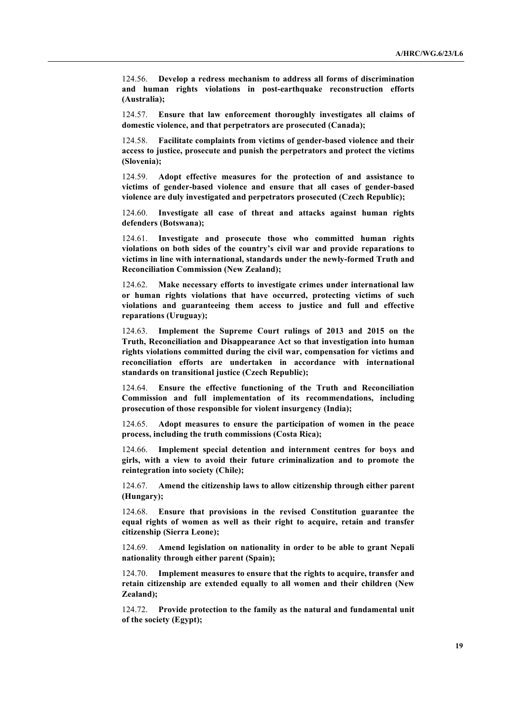124.56. **Develop a redress mechanism to address all forms of discrimination and human rights violations in post-earthquake reconstruction efforts (Australia);**

124.57. **Ensure that law enforcement thoroughly investigates all claims of domestic violence, and that perpetrators are prosecuted (Canada);**

124.58. **Facilitate complaints from victims of gender-based violence and their access to justice, prosecute and punish the perpetrators and protect the victims (Slovenia);**

124.59. **Adopt effective measures for the protection of and assistance to victims of gender-based violence and ensure that all cases of gender-based violence are duly investigated and perpetrators prosecuted (Czech Republic);**

124.60. **Investigate all case of threat and attacks against human rights defenders (Botswana);**

124.61. **Investigate and prosecute those who committed human rights violations on both sides of the country's civil war and provide reparations to victims in line with international, standards under the newly-formed Truth and Reconciliation Commission (New Zealand);**

124.62. **Make necessary efforts to investigate crimes under international law or human rights violations that have occurred, protecting victims of such violations and guaranteeing them access to justice and full and effective reparations (Uruguay);**

124.63. **Implement the Supreme Court rulings of 2013 and 2015 on the Truth, Reconciliation and Disappearance Act so that investigation into human rights violations committed during the civil war, compensation for victims and reconciliation efforts are undertaken in accordance with international standards on transitional justice (Czech Republic);**

124.64. **Ensure the effective functioning of the Truth and Reconciliation Commission and full implementation of its recommendations, including prosecution of those responsible for violent insurgency (India);**

124.65. **Adopt measures to ensure the participation of women in the peace process, including the truth commissions (Costa Rica);**

124.66. **Implement special detention and internment centres for boys and girls, with a view to avoid their future criminalization and to promote the reintegration into society (Chile);**

124.67. **Amend the citizenship laws to allow citizenship through either parent (Hungary);**

124.68. **Ensure that provisions in the revised Constitution guarantee the equal rights of women as well as their right to acquire, retain and transfer citizenship (Sierra Leone);**

124.69. **Amend legislation on nationality in order to be able to grant Nepali nationality through either parent (Spain);**

124.70. **Implement measures to ensure that the rights to acquire, transfer and retain citizenship are extended equally to all women and their children (New Zealand);**

124.72. **Provide protection to the family as the natural and fundamental unit of the society (Egypt);**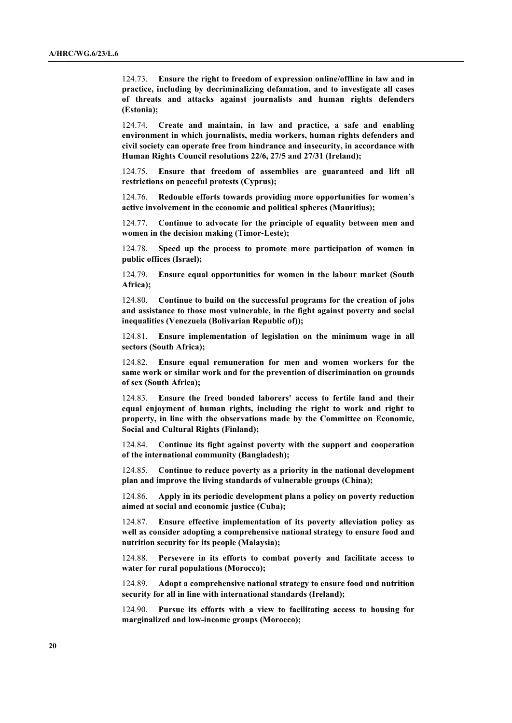124.73. **Ensure the right to freedom of expression online/offline in law and in practice, including by decriminalizing defamation, and to investigate all cases of threats and attacks against journalists and human rights defenders (Estonia);**

124.74. **Create and maintain, in law and practice, a safe and enabling environment in which journalists, media workers, human rights defenders and civil society can operate free from hindrance and insecurity, in accordance with Human Rights Council resolutions 22/6, 27/5 and 27/31 (Ireland);**

124.75. **Ensure that freedom of assemblies are guaranteed and lift all restrictions on peaceful protests (Cyprus);**

124.76. **Redouble efforts towards providing more opportunities for women's active involvement in the economic and political spheres (Mauritius);**

124.77. **Continue to advocate for the principle of equality between men and women in the decision making (Timor-Leste);**

124.78. **Speed up the process to promote more participation of women in public offices (Israel);**

124.79. **Ensure equal opportunities for women in the labour market (South Africa);**

124.80. **Continue to build on the successful programs for the creation of jobs and assistance to those most vulnerable, in the fight against poverty and social inequalities (Venezuela (Bolivarian Republic of));**

124.81. **Ensure implementation of legislation on the minimum wage in all sectors (South Africa);**

124.82. **Ensure equal remuneration for men and women workers for the same work or similar work and for the prevention of discrimination on grounds of sex (South Africa);**

124.83. **Ensure the freed bonded laborers' access to fertile land and their equal enjoyment of human rights, including the right to work and right to property, in line with the observations made by the Committee on Economic, Social and Cultural Rights (Finland);**

124.84. **Continue its fight against poverty with the support and cooperation of the international community (Bangladesh);**

124.85. **Continue to reduce poverty as a priority in the national development plan and improve the living standards of vulnerable groups (China);**

124.86. **Apply in its periodic development plans a policy on poverty reduction aimed at social and economic justice (Cuba);**

124.87. **Ensure effective implementation of its poverty alleviation policy as well as consider adopting a comprehensive national strategy to ensure food and nutrition security for its people (Malaysia);**

124.88. **Persevere in its efforts to combat poverty and facilitate access to water for rural populations (Morocco);**

124.89. **Adopt a comprehensive national strategy to ensure food and nutrition security for all in line with international standards (Ireland);**

124.90. **Pursue its efforts with a view to facilitating access to housing for marginalized and low-income groups (Morocco);**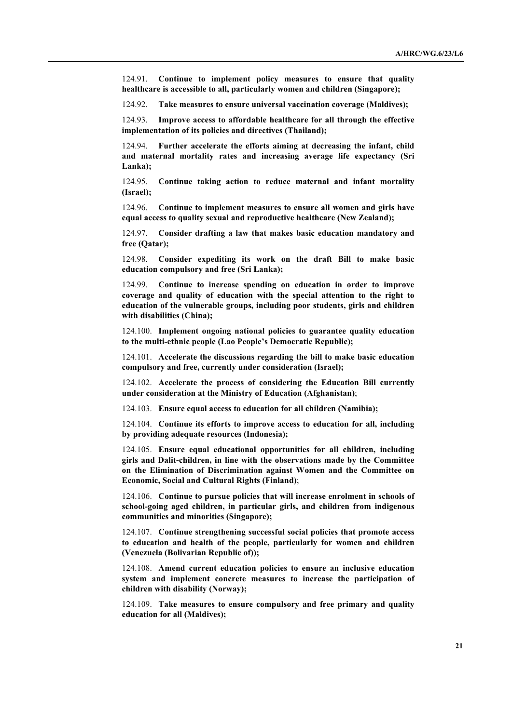124.91. **Continue to implement policy measures to ensure that quality healthcare is accessible to all, particularly women and children (Singapore);**

124.92. **Take measures to ensure universal vaccination coverage (Maldives);**

124.93. **Improve access to affordable healthcare for all through the effective implementation of its policies and directives (Thailand);**

124.94. **Further accelerate the efforts aiming at decreasing the infant, child and maternal mortality rates and increasing average life expectancy (Sri Lanka);**

124.95. **Continue taking action to reduce maternal and infant mortality (Israel);**

124.96. **Continue to implement measures to ensure all women and girls have equal access to quality sexual and reproductive healthcare (New Zealand);**

124.97. **Consider drafting a law that makes basic education mandatory and free (Qatar);**

124.98. **Consider expediting its work on the draft Bill to make basic education compulsory and free (Sri Lanka);**

124.99. **Continue to increase spending on education in order to improve coverage and quality of education with the special attention to the right to education of the vulnerable groups, including poor students, girls and children with disabilities (China);**

124.100. **Implement ongoing national policies to guarantee quality education to the multi-ethnic people (Lao People's Democratic Republic);**

124.101. **Accelerate the discussions regarding the bill to make basic education compulsory and free, currently under consideration (Israel);**

124.102. **Accelerate the process of considering the Education Bill currently under consideration at the Ministry of Education (Afghanistan)**;

124.103. **Ensure equal access to education for all children (Namibia);**

124.104. **Continue its efforts to improve access to education for all, including by providing adequate resources (Indonesia);**

124.105. **Ensure equal educational opportunities for all children, including girls and Dalit-children, in line with the observations made by the Committee on the Elimination of Discrimination against Women and the Committee on Economic, Social and Cultural Rights (Finland)**;

124.106. **Continue to pursue policies that will increase enrolment in schools of school-going aged children, in particular girls, and children from indigenous communities and minorities (Singapore);**

124.107. **Continue strengthening successful social policies that promote access to education and health of the people, particularly for women and children (Venezuela (Bolivarian Republic of));**

124.108. **Amend current education policies to ensure an inclusive education system and implement concrete measures to increase the participation of children with disability (Norway);**

124.109. **Take measures to ensure compulsory and free primary and quality education for all (Maldives);**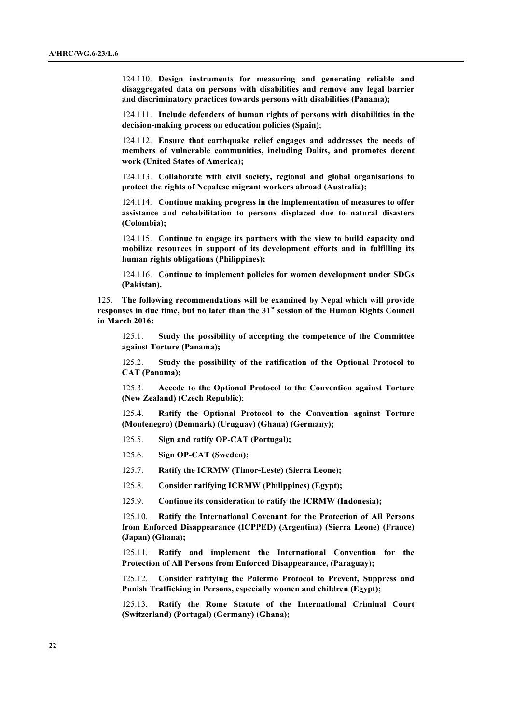124.110. **Design instruments for measuring and generating reliable and disaggregated data on persons with disabilities and remove any legal barrier and discriminatory practices towards persons with disabilities (Panama);**

124.111. **Include defenders of human rights of persons with disabilities in the decision-making process on education policies (Spain)**;

124.112. **Ensure that earthquake relief engages and addresses the needs of members of vulnerable communities, including Dalits, and promotes decent work (United States of America);**

124.113. **Collaborate with civil society, regional and global organisations to protect the rights of Nepalese migrant workers abroad (Australia);**

124.114. **Continue making progress in the implementation of measures to offer assistance and rehabilitation to persons displaced due to natural disasters (Colombia);**

124.115. **Continue to engage its partners with the view to build capacity and mobilize resources in support of its development efforts and in fulfilling its human rights obligations (Philippines);**

124.116. **Continue to implement policies for women development under SDGs (Pakistan).**

125. **The following recommendations will be examined by Nepal which will provide responses in due time, but no later than the 31st session of the Human Rights Council in March 2016:**

125.1. **Study the possibility of accepting the competence of the Committee against Torture (Panama);**

125.2. **Study the possibility of the ratification of the Optional Protocol to CAT (Panama);**

125.3. **Accede to the Optional Protocol to the Convention against Torture (New Zealand) (Czech Republic)**;

125.4. **Ratify the Optional Protocol to the Convention against Torture (Montenegro) (Denmark) (Uruguay) (Ghana) (Germany);**

125.5. **Sign and ratify OP-CAT (Portugal);**

125.6. **Sign OP-CAT (Sweden);**

125.7. **Ratify the ICRMW (Timor-Leste) (Sierra Leone);**

125.8. **Consider ratifying ICRMW (Philippines) (Egypt);**

125.9. **Continue its consideration to ratify the ICRMW (Indonesia);**

125.10. **Ratify the International Covenant for the Protection of All Persons from Enforced Disappearance (ICPPED) (Argentina) (Sierra Leone) (France) (Japan) (Ghana);**

125.11. **Ratify and implement the International Convention for the Protection of All Persons from Enforced Disappearance, (Paraguay);**

125.12. **Consider ratifying the Palermo Protocol to Prevent, Suppress and Punish Trafficking in Persons, especially women and children (Egypt);**

125.13. **Ratify the Rome Statute of the International Criminal Court (Switzerland) (Portugal) (Germany) (Ghana);**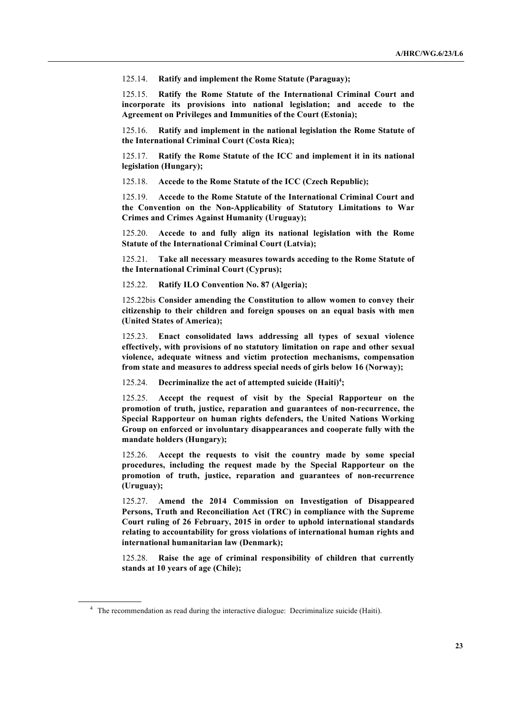125.14. **Ratify and implement the Rome Statute (Paraguay);**

125.15. **Ratify the Rome Statute of the International Criminal Court and incorporate its provisions into national legislation; and accede to the Agreement on Privileges and Immunities of the Court (Estonia);**

125.16. **Ratify and implement in the national legislation the Rome Statute of the International Criminal Court (Costa Rica);**

125.17. **Ratify the Rome Statute of the ICC and implement it in its national legislation (Hungary);**

125.18. **Accede to the Rome Statute of the ICC (Czech Republic);**

125.19. **Accede to the Rome Statute of the International Criminal Court and the Convention on the Non-Applicability of Statutory Limitations to War Crimes and Crimes Against Humanity (Uruguay);**

125.20. **Accede to and fully align its national legislation with the Rome Statute of the International Criminal Court (Latvia);**

125.21. **Take all necessary measures towards acceding to the Rome Statute of the International Criminal Court (Cyprus);**

125.22. **Ratify ILO Convention No. 87 (Algeria);**

125.22bis **Consider amending the Constitution to allow women to convey their citizenship to their children and foreign spouses on an equal basis with men (United States of America);**

125.23. **Enact consolidated laws addressing all types of sexual violence effectively, with provisions of no statutory limitation on rape and other sexual violence, adequate witness and victim protection mechanisms, compensation from state and measures to address special needs of girls below 16 (Norway);**

125.24. **Decriminalize the act of attempted suicide (Haiti) 4 ;**

125.25. **Accept the request of visit by the Special Rapporteur on the promotion of truth, justice, reparation and guarantees of non-recurrence, the Special Rapporteur on human rights defenders, the United Nations Working Group on enforced or involuntary disappearances and cooperate fully with the mandate holders (Hungary);**

125.26. **Accept the requests to visit the country made by some special procedures, including the request made by the Special Rapporteur on the promotion of truth, justice, reparation and guarantees of non-recurrence (Uruguay);**

125.27. **Amend the 2014 Commission on Investigation of Disappeared Persons, Truth and Reconciliation Act (TRC) in compliance with the Supreme Court ruling of 26 February, 2015 in order to uphold international standards relating to accountability for gross violations of international human rights and international humanitarian law (Denmark);**

125.28. **Raise the age of criminal responsibility of children that currently stands at 10 years of age (Chile);**

<sup>&</sup>lt;sup>4</sup> The recommendation as read during the interactive dialogue: Decriminalize suicide (Haiti).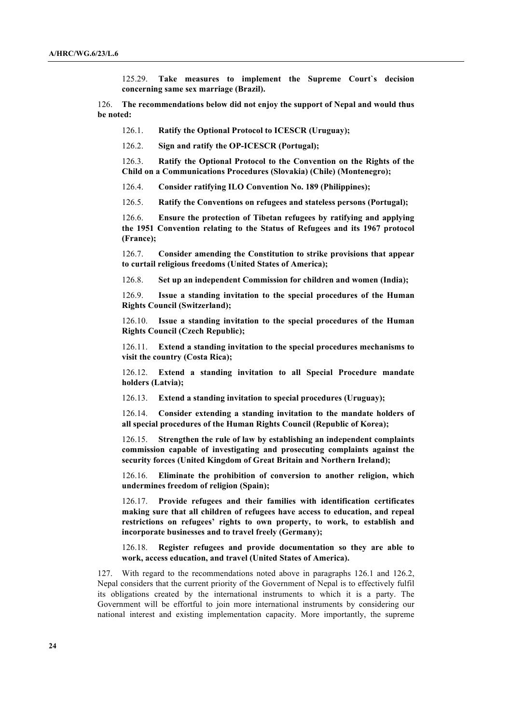125.29. **Take measures to implement the Supreme Court`s decision concerning same sex marriage (Brazil).**

126. **The recommendations below did not enjoy the support of Nepal and would thus be noted:**

126.1. **Ratify the Optional Protocol to ICESCR (Uruguay);**

126.2. **Sign and ratify the OP-ICESCR (Portugal);**

126.3. **Ratify the Optional Protocol to the Convention on the Rights of the Child on a Communications Procedures (Slovakia) (Chile) (Montenegro);**

126.4. **Consider ratifying ILO Convention No. 189 (Philippines);**

126.5. **Ratify the Conventions on refugees and stateless persons (Portugal);**

126.6. **Ensure the protection of Tibetan refugees by ratifying and applying the 1951 Convention relating to the Status of Refugees and its 1967 protocol (France);**

126.7. **Consider amending the Constitution to strike provisions that appear to curtail religious freedoms (United States of America);**

126.8. **Set up an independent Commission for children and women (India);**

126.9. **Issue a standing invitation to the special procedures of the Human Rights Council (Switzerland);**

126.10. **Issue a standing invitation to the special procedures of the Human Rights Council (Czech Republic);**

126.11. **Extend a standing invitation to the special procedures mechanisms to visit the country (Costa Rica);**

126.12. **Extend a standing invitation to all Special Procedure mandate holders (Latvia);**

126.13. **Extend a standing invitation to special procedures (Uruguay);**

126.14. **Consider extending a standing invitation to the mandate holders of all special procedures of the Human Rights Council (Republic of Korea);**

126.15. **Strengthen the rule of law by establishing an independent complaints commission capable of investigating and prosecuting complaints against the security forces (United Kingdom of Great Britain and Northern Ireland);**

126.16. **Eliminate the prohibition of conversion to another religion, which undermines freedom of religion (Spain);**

126.17. **Provide refugees and their families with identification certificates making sure that all children of refugees have access to education, and repeal restrictions on refugees' rights to own property, to work, to establish and incorporate businesses and to travel freely (Germany);**

126.18. **Register refugees and provide documentation so they are able to work, access education, and travel (United States of America).**

127. With regard to the recommendations noted above in paragraphs 126.1 and 126.2, Nepal considers that the current priority of the Government of Nepal is to effectively fulfil its obligations created by the international instruments to which it is a party. The Government will be effortful to join more international instruments by considering our national interest and existing implementation capacity. More importantly, the supreme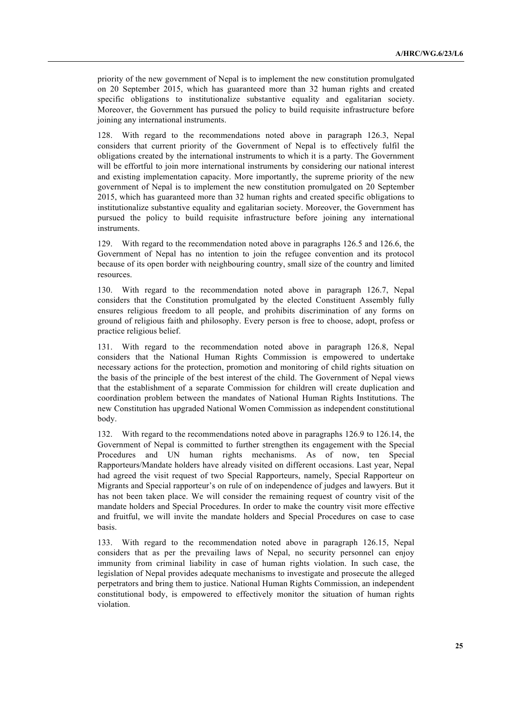priority of the new government of Nepal is to implement the new constitution promulgated on 20 September 2015, which has guaranteed more than 32 human rights and created specific obligations to institutionalize substantive equality and egalitarian society. Moreover, the Government has pursued the policy to build requisite infrastructure before joining any international instruments.

128. With regard to the recommendations noted above in paragraph 126.3, Nepal considers that current priority of the Government of Nepal is to effectively fulfil the obligations created by the international instruments to which it is a party. The Government will be effortful to join more international instruments by considering our national interest and existing implementation capacity. More importantly, the supreme priority of the new government of Nepal is to implement the new constitution promulgated on 20 September 2015, which has guaranteed more than 32 human rights and created specific obligations to institutionalize substantive equality and egalitarian society. Moreover, the Government has pursued the policy to build requisite infrastructure before joining any international instruments.

129. With regard to the recommendation noted above in paragraphs 126.5 and 126.6, the Government of Nepal has no intention to join the refugee convention and its protocol because of its open border with neighbouring country, small size of the country and limited resources.

130. With regard to the recommendation noted above in paragraph 126.7, Nepal considers that the Constitution promulgated by the elected Constituent Assembly fully ensures religious freedom to all people, and prohibits discrimination of any forms on ground of religious faith and philosophy. Every person is free to choose, adopt, profess or practice religious belief.

With regard to the recommendation noted above in paragraph 126.8, Nepal considers that the National Human Rights Commission is empowered to undertake necessary actions for the protection, promotion and monitoring of child rights situation on the basis of the principle of the best interest of the child. The Government of Nepal views that the establishment of a separate Commission for children will create duplication and coordination problem between the mandates of National Human Rights Institutions. The new Constitution has upgraded National Women Commission as independent constitutional body.

132. With regard to the recommendations noted above in paragraphs 126.9 to 126.14, the Government of Nepal is committed to further strengthen its engagement with the Special Procedures and UN human rights mechanisms. As of now, ten Special Rapporteurs/Mandate holders have already visited on different occasions. Last year, Nepal had agreed the visit request of two Special Rapporteurs, namely, Special Rapporteur on Migrants and Special rapporteur's on rule of on independence of judges and lawyers. But it has not been taken place. We will consider the remaining request of country visit of the mandate holders and Special Procedures. In order to make the country visit more effective and fruitful, we will invite the mandate holders and Special Procedures on case to case basis.

133. With regard to the recommendation noted above in paragraph 126.15, Nepal considers that as per the prevailing laws of Nepal, no security personnel can enjoy immunity from criminal liability in case of human rights violation. In such case, the legislation of Nepal provides adequate mechanisms to investigate and prosecute the alleged perpetrators and bring them to justice. National Human Rights Commission, an independent constitutional body, is empowered to effectively monitor the situation of human rights violation.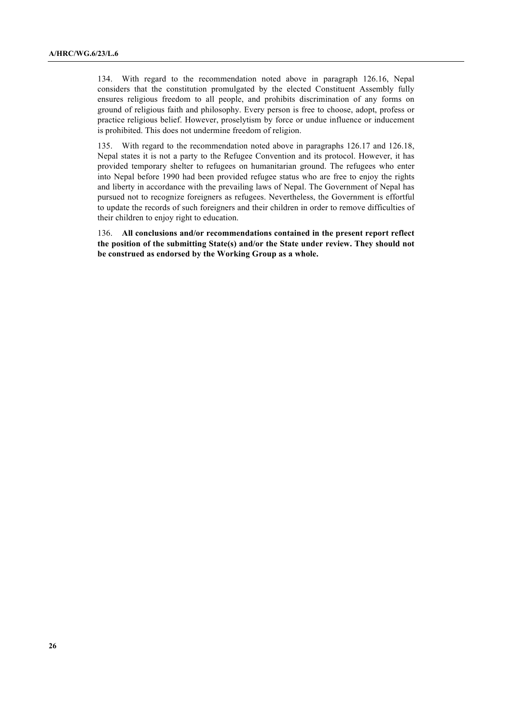134. With regard to the recommendation noted above in paragraph 126.16, Nepal considers that the constitution promulgated by the elected Constituent Assembly fully ensures religious freedom to all people, and prohibits discrimination of any forms on ground of religious faith and philosophy. Every person is free to choose, adopt, profess or practice religious belief. However, proselytism by force or undue influence or inducement is prohibited. This does not undermine freedom of religion.

135. With regard to the recommendation noted above in paragraphs 126.17 and 126.18, Nepal states it is not a party to the Refugee Convention and its protocol. However, it has provided temporary shelter to refugees on humanitarian ground. The refugees who enter into Nepal before 1990 had been provided refugee status who are free to enjoy the rights and liberty in accordance with the prevailing laws of Nepal. The Government of Nepal has pursued not to recognize foreigners as refugees. Nevertheless, the Government is effortful to update the records of such foreigners and their children in order to remove difficulties of their children to enjoy right to education.

136. **All conclusions and/or recommendations contained in the present report reflect the position of the submitting State(s) and/or the State under review. They should not be construed as endorsed by the Working Group as a whole.**